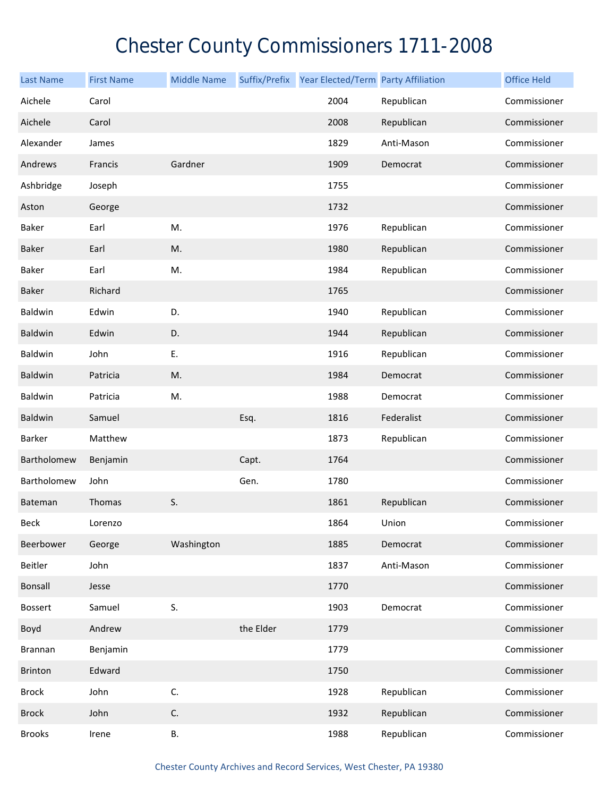## Chester County Commissioners 1711-2008

| <b>Last Name</b> | <b>First Name</b> | <b>Middle Name</b> | Suffix/Prefix | Year Elected/Term Party Affiliation |            | <b>Office Held</b> |
|------------------|-------------------|--------------------|---------------|-------------------------------------|------------|--------------------|
| Aichele          | Carol             |                    |               | 2004                                | Republican | Commissioner       |
| Aichele          | Carol             |                    |               | 2008                                | Republican | Commissioner       |
| Alexander        | James             |                    |               | 1829                                | Anti-Mason | Commissioner       |
| Andrews          | Francis           | Gardner            |               | 1909                                | Democrat   | Commissioner       |
| Ashbridge        | Joseph            |                    |               | 1755                                |            | Commissioner       |
| Aston            | George            |                    |               | 1732                                |            | Commissioner       |
| Baker            | Earl              | M.                 |               | 1976                                | Republican | Commissioner       |
| Baker            | Earl              | M.                 |               | 1980                                | Republican | Commissioner       |
| Baker            | Earl              | Μ.                 |               | 1984                                | Republican | Commissioner       |
| Baker            | Richard           |                    |               | 1765                                |            | Commissioner       |
| Baldwin          | Edwin             | D.                 |               | 1940                                | Republican | Commissioner       |
| Baldwin          | Edwin             | D.                 |               | 1944                                | Republican | Commissioner       |
| Baldwin          | John              | Ε.                 |               | 1916                                | Republican | Commissioner       |
| <b>Baldwin</b>   | Patricia          | M.                 |               | 1984                                | Democrat   | Commissioner       |
| Baldwin          | Patricia          | M.                 |               | 1988                                | Democrat   | Commissioner       |
| Baldwin          | Samuel            |                    | Esq.          | 1816                                | Federalist | Commissioner       |
| Barker           | Matthew           |                    |               | 1873                                | Republican | Commissioner       |
| Bartholomew      | Benjamin          |                    | Capt.         | 1764                                |            | Commissioner       |
| Bartholomew      | John              |                    | Gen.          | 1780                                |            | Commissioner       |
| Bateman          | Thomas            | S.                 |               | 1861                                | Republican | Commissioner       |
| <b>Beck</b>      | Lorenzo           |                    |               | 1864                                | Union      | Commissioner       |
| Beerbower        | George            | Washington         |               | 1885                                | Democrat   | Commissioner       |
| Beitler          | John              |                    |               | 1837                                | Anti-Mason | Commissioner       |
| <b>Bonsall</b>   | Jesse             |                    |               | 1770                                |            | Commissioner       |
| <b>Bossert</b>   | Samuel            | S.                 |               | 1903                                | Democrat   | Commissioner       |
| Boyd             | Andrew            |                    | the Elder     | 1779                                |            | Commissioner       |
| Brannan          | Benjamin          |                    |               | 1779                                |            | Commissioner       |
| Brinton          | Edward            |                    |               | 1750                                |            | Commissioner       |
| <b>Brock</b>     | John              | C.                 |               | 1928                                | Republican | Commissioner       |
| <b>Brock</b>     | John              | C.                 |               | 1932                                | Republican | Commissioner       |
| <b>Brooks</b>    | Irene             | В.                 |               | 1988                                | Republican | Commissioner       |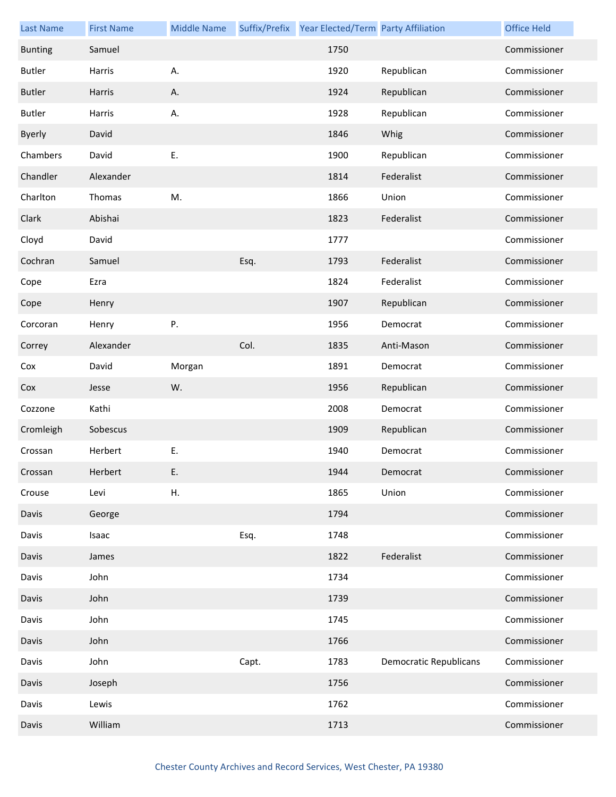| <b>Last Name</b> | <b>First Name</b> | <b>Middle Name</b> |       | Suffix/Prefix Year Elected/Term Party Affiliation |                               | <b>Office Held</b> |
|------------------|-------------------|--------------------|-------|---------------------------------------------------|-------------------------------|--------------------|
| <b>Bunting</b>   | Samuel            |                    |       | 1750                                              |                               | Commissioner       |
| <b>Butler</b>    | Harris            | А.                 |       | 1920                                              | Republican                    | Commissioner       |
| <b>Butler</b>    | Harris            | Α.                 |       | 1924                                              | Republican                    | Commissioner       |
| <b>Butler</b>    | Harris            | А.                 |       | 1928                                              | Republican                    | Commissioner       |
| <b>Byerly</b>    | David             |                    |       | 1846                                              | Whig                          | Commissioner       |
| Chambers         | David             | E.                 |       | 1900                                              | Republican                    | Commissioner       |
| Chandler         | Alexander         |                    |       | 1814                                              | Federalist                    | Commissioner       |
| Charlton         | Thomas            | M.                 |       | 1866                                              | Union                         | Commissioner       |
| Clark            | Abishai           |                    |       | 1823                                              | Federalist                    | Commissioner       |
| Cloyd            | David             |                    |       | 1777                                              |                               | Commissioner       |
| Cochran          | Samuel            |                    | Esq.  | 1793                                              | Federalist                    | Commissioner       |
| Cope             | Ezra              |                    |       | 1824                                              | Federalist                    | Commissioner       |
| Cope             | Henry             |                    |       | 1907                                              | Republican                    | Commissioner       |
| Corcoran         | Henry             | Ρ.                 |       | 1956                                              | Democrat                      | Commissioner       |
| Correy           | Alexander         |                    | Col.  | 1835                                              | Anti-Mason                    | Commissioner       |
| Cox              | David             | Morgan             |       | 1891                                              | Democrat                      | Commissioner       |
| Cox              | Jesse             | W.                 |       | 1956                                              | Republican                    | Commissioner       |
| Cozzone          | Kathi             |                    |       | 2008                                              | Democrat                      | Commissioner       |
| Cromleigh        | Sobescus          |                    |       | 1909                                              | Republican                    | Commissioner       |
| Crossan          | Herbert           | Ε.                 |       | 1940                                              | Democrat                      | Commissioner       |
| Crossan          | Herbert           | Ε.                 |       | 1944                                              | Democrat                      | Commissioner       |
| Crouse           | Levi              | Η.                 |       | 1865                                              | Union                         | Commissioner       |
| Davis            | George            |                    |       | 1794                                              |                               | Commissioner       |
| Davis            | Isaac             |                    | Esq.  | 1748                                              |                               | Commissioner       |
| Davis            | James             |                    |       | 1822                                              | Federalist                    | Commissioner       |
| Davis            | John              |                    |       | 1734                                              |                               | Commissioner       |
| Davis            | John              |                    |       | 1739                                              |                               | Commissioner       |
| Davis            | John              |                    |       | 1745                                              |                               | Commissioner       |
| Davis            | John              |                    |       | 1766                                              |                               | Commissioner       |
| Davis            | John              |                    | Capt. | 1783                                              | <b>Democratic Republicans</b> | Commissioner       |
| Davis            | Joseph            |                    |       | 1756                                              |                               | Commissioner       |
| Davis            | Lewis             |                    |       | 1762                                              |                               | Commissioner       |
| Davis            | William           |                    |       | 1713                                              |                               | Commissioner       |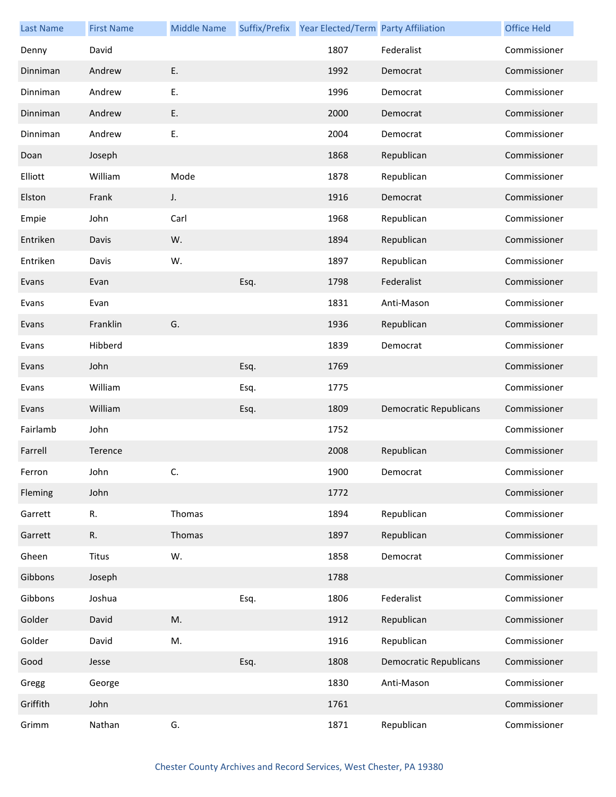| <b>Last Name</b> | <b>First Name</b> | <b>Middle Name</b> |      | Suffix/Prefix Year Elected/Term Party Affiliation |                               | <b>Office Held</b> |
|------------------|-------------------|--------------------|------|---------------------------------------------------|-------------------------------|--------------------|
| Denny            | David             |                    |      | 1807                                              | Federalist                    | Commissioner       |
| Dinniman         | Andrew            | E.                 |      | 1992                                              | Democrat                      | Commissioner       |
| Dinniman         | Andrew            | E.                 |      | 1996                                              | Democrat                      | Commissioner       |
| Dinniman         | Andrew            | Ε.                 |      | 2000                                              | Democrat                      | Commissioner       |
| Dinniman         | Andrew            | Ε.                 |      | 2004                                              | Democrat                      | Commissioner       |
| Doan             | Joseph            |                    |      | 1868                                              | Republican                    | Commissioner       |
| Elliott          | William           | Mode               |      | 1878                                              | Republican                    | Commissioner       |
| Elston           | Frank             | J.                 |      | 1916                                              | Democrat                      | Commissioner       |
| Empie            | John              | Carl               |      | 1968                                              | Republican                    | Commissioner       |
| Entriken         | Davis             | W.                 |      | 1894                                              | Republican                    | Commissioner       |
| Entriken         | Davis             | W.                 |      | 1897                                              | Republican                    | Commissioner       |
| Evans            | Evan              |                    | Esq. | 1798                                              | Federalist                    | Commissioner       |
| Evans            | Evan              |                    |      | 1831                                              | Anti-Mason                    | Commissioner       |
| Evans            | Franklin          | G.                 |      | 1936                                              | Republican                    | Commissioner       |
| Evans            | Hibberd           |                    |      | 1839                                              | Democrat                      | Commissioner       |
| Evans            | John              |                    | Esq. | 1769                                              |                               | Commissioner       |
| Evans            | William           |                    | Esq. | 1775                                              |                               | Commissioner       |
| Evans            | William           |                    | Esq. | 1809                                              | <b>Democratic Republicans</b> | Commissioner       |
| Fairlamb         | John              |                    |      | 1752                                              |                               | Commissioner       |
| Farrell          | Terence           |                    |      | 2008                                              | Republican                    | Commissioner       |
| Ferron           | John              | C.                 |      | 1900                                              | Democrat                      | Commissioner       |
| Fleming          | John              |                    |      | 1772                                              |                               | Commissioner       |
| Garrett          | R.                | Thomas             |      | 1894                                              | Republican                    | Commissioner       |
| Garrett          | R.                | Thomas             |      | 1897                                              | Republican                    | Commissioner       |
| Gheen            | Titus             | W.                 |      | 1858                                              | Democrat                      | Commissioner       |
| Gibbons          | Joseph            |                    |      | 1788                                              |                               | Commissioner       |
| Gibbons          | Joshua            |                    | Esq. | 1806                                              | Federalist                    | Commissioner       |
| Golder           | David             | M.                 |      | 1912                                              | Republican                    | Commissioner       |
| Golder           | David             | M.                 |      | 1916                                              | Republican                    | Commissioner       |
| Good             | Jesse             |                    | Esq. | 1808                                              | <b>Democratic Republicans</b> | Commissioner       |
| Gregg            | George            |                    |      | 1830                                              | Anti-Mason                    | Commissioner       |
| Griffith         | John              |                    |      | 1761                                              |                               | Commissioner       |
| Grimm            | Nathan            | G.                 |      | 1871                                              | Republican                    | Commissioner       |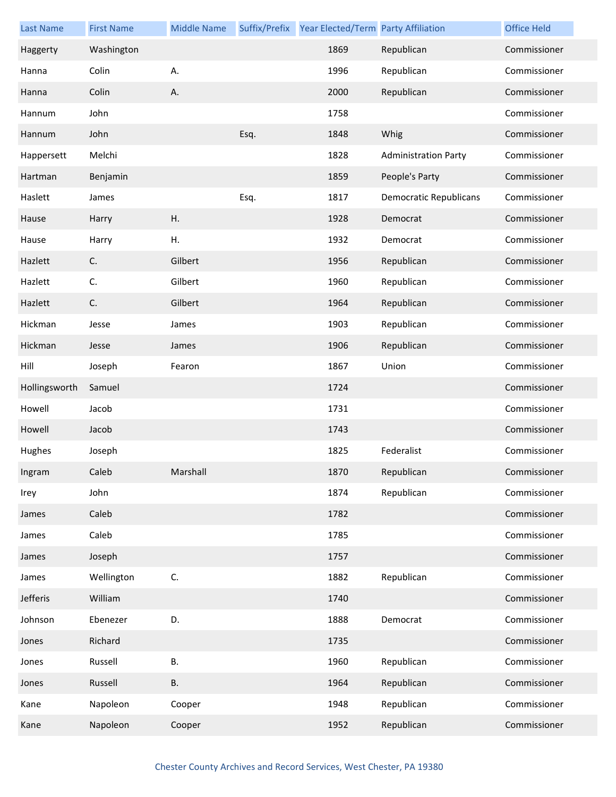| <b>Last Name</b> | <b>First Name</b> | <b>Middle Name</b> |      | Suffix/Prefix Year Elected/Term Party Affiliation |                               | <b>Office Held</b> |
|------------------|-------------------|--------------------|------|---------------------------------------------------|-------------------------------|--------------------|
| Haggerty         | Washington        |                    |      | 1869                                              | Republican                    | Commissioner       |
| Hanna            | Colin             | А.                 |      | 1996                                              | Republican                    | Commissioner       |
| Hanna            | Colin             | Α.                 |      | 2000                                              | Republican                    | Commissioner       |
| Hannum           | John              |                    |      | 1758                                              |                               | Commissioner       |
| Hannum           | John              |                    | Esq. | 1848                                              | Whig                          | Commissioner       |
| Happersett       | Melchi            |                    |      | 1828                                              | <b>Administration Party</b>   | Commissioner       |
| Hartman          | Benjamin          |                    |      | 1859                                              | People's Party                | Commissioner       |
| Haslett          | James             |                    | Esq. | 1817                                              | <b>Democratic Republicans</b> | Commissioner       |
| Hause            | Harry             | Η.                 |      | 1928                                              | Democrat                      | Commissioner       |
| Hause            | Harry             | Η.                 |      | 1932                                              | Democrat                      | Commissioner       |
| Hazlett          | C.                | Gilbert            |      | 1956                                              | Republican                    | Commissioner       |
| Hazlett          | C.                | Gilbert            |      | 1960                                              | Republican                    | Commissioner       |
| Hazlett          | C.                | Gilbert            |      | 1964                                              | Republican                    | Commissioner       |
| Hickman          | Jesse             | James              |      | 1903                                              | Republican                    | Commissioner       |
| Hickman          | Jesse             | James              |      | 1906                                              | Republican                    | Commissioner       |
| Hill             | Joseph            | Fearon             |      | 1867                                              | Union                         | Commissioner       |
| Hollingsworth    | Samuel            |                    |      | 1724                                              |                               | Commissioner       |
| Howell           | Jacob             |                    |      | 1731                                              |                               | Commissioner       |
| Howell           | Jacob             |                    |      | 1743                                              |                               | Commissioner       |
| Hughes           | Joseph            |                    |      | 1825                                              | Federalist                    | Commissioner       |
| Ingram           | Caleb             | Marshall           |      | 1870                                              | Republican                    | Commissioner       |
| Irey             | John              |                    |      | 1874                                              | Republican                    | Commissioner       |
| James            | Caleb             |                    |      | 1782                                              |                               | Commissioner       |
| James            | Caleb             |                    |      | 1785                                              |                               | Commissioner       |
| James            | Joseph            |                    |      | 1757                                              |                               | Commissioner       |
| James            | Wellington        | C.                 |      | 1882                                              | Republican                    | Commissioner       |
| Jefferis         | William           |                    |      | 1740                                              |                               | Commissioner       |
| Johnson          | Ebenezer          | D.                 |      | 1888                                              | Democrat                      | Commissioner       |
| Jones            | Richard           |                    |      | 1735                                              |                               | Commissioner       |
| Jones            | Russell           | <b>B.</b>          |      | 1960                                              | Republican                    | Commissioner       |
| Jones            | Russell           | <b>B.</b>          |      | 1964                                              | Republican                    | Commissioner       |
| Kane             | Napoleon          | Cooper             |      | 1948                                              | Republican                    | Commissioner       |
| Kane             | Napoleon          | Cooper             |      | 1952                                              | Republican                    | Commissioner       |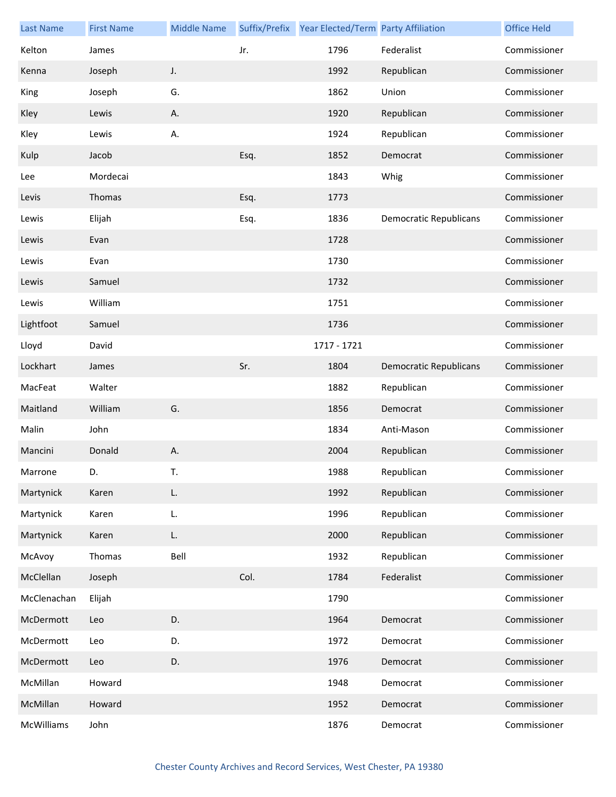| <b>Last Name</b> | <b>First Name</b> | <b>Middle Name</b> |      | Suffix/Prefix Year Elected/Term Party Affiliation |                               | <b>Office Held</b> |
|------------------|-------------------|--------------------|------|---------------------------------------------------|-------------------------------|--------------------|
| Kelton           | James             |                    | Jr.  | 1796                                              | Federalist                    | Commissioner       |
| Kenna            | Joseph            | J.                 |      | 1992                                              | Republican                    | Commissioner       |
| King             | Joseph            | G.                 |      | 1862                                              | Union                         | Commissioner       |
| Kley             | Lewis             | Α.                 |      | 1920                                              | Republican                    | Commissioner       |
| Kley             | Lewis             | А.                 |      | 1924                                              | Republican                    | Commissioner       |
| Kulp             | Jacob             |                    | Esq. | 1852                                              | Democrat                      | Commissioner       |
| Lee              | Mordecai          |                    |      | 1843                                              | Whig                          | Commissioner       |
| Levis            | Thomas            |                    | Esq. | 1773                                              |                               | Commissioner       |
| Lewis            | Elijah            |                    | Esq. | 1836                                              | <b>Democratic Republicans</b> | Commissioner       |
| Lewis            | Evan              |                    |      | 1728                                              |                               | Commissioner       |
| Lewis            | Evan              |                    |      | 1730                                              |                               | Commissioner       |
| Lewis            | Samuel            |                    |      | 1732                                              |                               | Commissioner       |
| Lewis            | William           |                    |      | 1751                                              |                               | Commissioner       |
| Lightfoot        | Samuel            |                    |      | 1736                                              |                               | Commissioner       |
| Lloyd            | David             |                    |      | 1717 - 1721                                       |                               | Commissioner       |
| Lockhart         | James             |                    | Sr.  | 1804                                              | <b>Democratic Republicans</b> | Commissioner       |
| MacFeat          | Walter            |                    |      | 1882                                              | Republican                    | Commissioner       |
| Maitland         | William           | G.                 |      | 1856                                              | Democrat                      | Commissioner       |
| Malin            | John              |                    |      | 1834                                              | Anti-Mason                    | Commissioner       |
| Mancini          | Donald            | Α.                 |      | 2004                                              | Republican                    | Commissioner       |
| Marrone          | D.                | T.                 |      | 1988                                              | Republican                    | Commissioner       |
| Martynick        | Karen             | L.                 |      | 1992                                              | Republican                    | Commissioner       |
| Martynick        | Karen             | L.                 |      | 1996                                              | Republican                    | Commissioner       |
| Martynick        | Karen             | L.                 |      | 2000                                              | Republican                    | Commissioner       |
| McAvoy           | Thomas            | Bell               |      | 1932                                              | Republican                    | Commissioner       |
| McClellan        | Joseph            |                    | Col. | 1784                                              | Federalist                    | Commissioner       |
| McClenachan      | Elijah            |                    |      | 1790                                              |                               | Commissioner       |
| McDermott        | Leo               | D.                 |      | 1964                                              | Democrat                      | Commissioner       |
| McDermott        | Leo               | D.                 |      | 1972                                              | Democrat                      | Commissioner       |
| McDermott        | Leo               | D.                 |      | 1976                                              | Democrat                      | Commissioner       |
| McMillan         | Howard            |                    |      | 1948                                              | Democrat                      | Commissioner       |
| McMillan         | Howard            |                    |      | 1952                                              | Democrat                      | Commissioner       |
| McWilliams       | John              |                    |      | 1876                                              | Democrat                      | Commissioner       |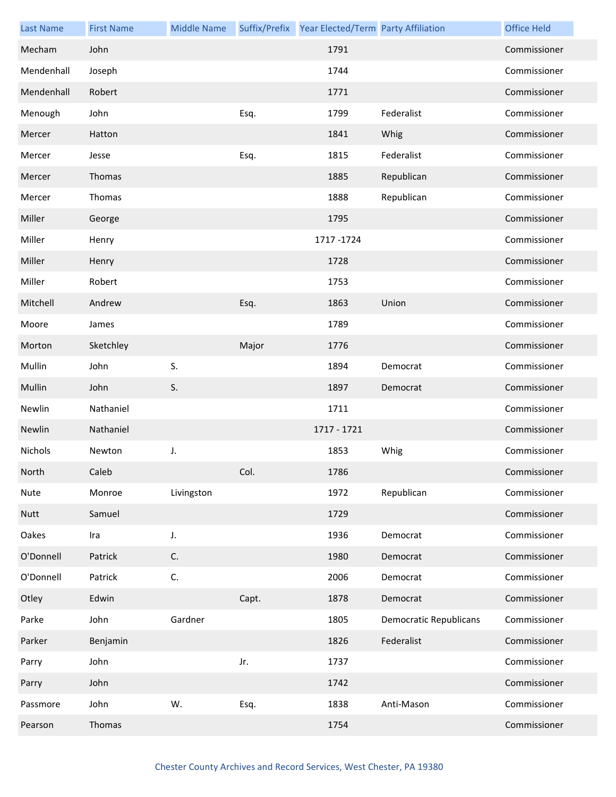| <b>Last Name</b> | <b>First Name</b> | <b>Middle Name</b> |       | Suffix/Prefix Year Elected/Term Party Affiliation |                               | <b>Office Held</b> |
|------------------|-------------------|--------------------|-------|---------------------------------------------------|-------------------------------|--------------------|
| Mecham           | John              |                    |       | 1791                                              |                               | Commissioner       |
| Mendenhall       | Joseph            |                    |       | 1744                                              |                               | Commissioner       |
| Mendenhall       | Robert            |                    |       | 1771                                              |                               | Commissioner       |
| Menough          | John              |                    | Esq.  | 1799                                              | Federalist                    | Commissioner       |
| Mercer           | Hatton            |                    |       | 1841                                              | Whig                          | Commissioner       |
| Mercer           | Jesse             |                    | Esq.  | 1815                                              | Federalist                    | Commissioner       |
| Mercer           | Thomas            |                    |       | 1885                                              | Republican                    | Commissioner       |
| Mercer           | Thomas            |                    |       | 1888                                              | Republican                    | Commissioner       |
| Miller           | George            |                    |       | 1795                                              |                               | Commissioner       |
| Miller           | Henry             |                    |       | 1717-1724                                         |                               | Commissioner       |
| Miller           | Henry             |                    |       | 1728                                              |                               | Commissioner       |
| Miller           | Robert            |                    |       | 1753                                              |                               | Commissioner       |
| Mitchell         | Andrew            |                    | Esq.  | 1863                                              | Union                         | Commissioner       |
| Moore            | James             |                    |       | 1789                                              |                               | Commissioner       |
| Morton           | Sketchley         |                    | Major | 1776                                              |                               | Commissioner       |
| Mullin           | John              | S.                 |       | 1894                                              | Democrat                      | Commissioner       |
| Mullin           | John              | S.                 |       | 1897                                              | Democrat                      | Commissioner       |
| Newlin           | Nathaniel         |                    |       | 1711                                              |                               | Commissioner       |
| Newlin           | Nathaniel         |                    |       | 1717 - 1721                                       |                               | Commissioner       |
| Nichols          | Newton            | J.                 |       | 1853                                              | Whig                          | Commissioner       |
| North            | Caleb             |                    | Col.  | 1786                                              |                               | Commissioner       |
| Nute             | Monroe            | Livingston         |       | 1972                                              | Republican                    | Commissioner       |
| <b>Nutt</b>      | Samuel            |                    |       | 1729                                              |                               | Commissioner       |
| Oakes            | Ira               | J.                 |       | 1936                                              | Democrat                      | Commissioner       |
| O'Donnell        | Patrick           | C.                 |       | 1980                                              | Democrat                      | Commissioner       |
| O'Donnell        | Patrick           | C.                 |       | 2006                                              | Democrat                      | Commissioner       |
| Otley            | Edwin             |                    | Capt. | 1878                                              | Democrat                      | Commissioner       |
| Parke            | John              | Gardner            |       | 1805                                              | <b>Democratic Republicans</b> | Commissioner       |
| Parker           | Benjamin          |                    |       | 1826                                              | Federalist                    | Commissioner       |
| Parry            | John              |                    | Jr.   | 1737                                              |                               | Commissioner       |
| Parry            | John              |                    |       | 1742                                              |                               | Commissioner       |
| Passmore         | John              | W.                 | Esq.  | 1838                                              | Anti-Mason                    | Commissioner       |
| Pearson          | Thomas            |                    |       | 1754                                              |                               | Commissioner       |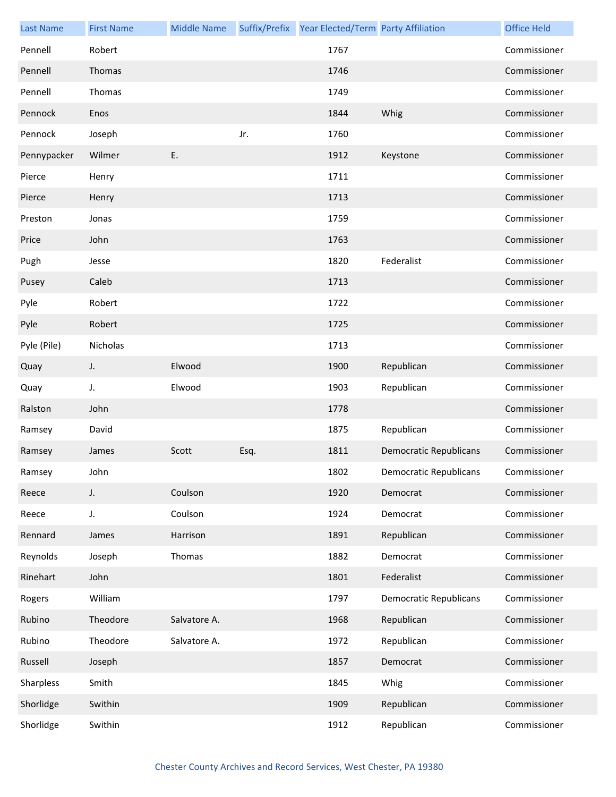| <b>Last Name</b> | <b>First Name</b> | <b>Middle Name</b> |      | Suffix/Prefix Year Elected/Term Party Affiliation |                               | <b>Office Held</b> |
|------------------|-------------------|--------------------|------|---------------------------------------------------|-------------------------------|--------------------|
| Pennell          | Robert            |                    |      | 1767                                              |                               | Commissioner       |
| Pennell          | Thomas            |                    |      | 1746                                              |                               | Commissioner       |
| Pennell          | Thomas            |                    |      | 1749                                              |                               | Commissioner       |
| Pennock          | Enos              |                    |      | 1844                                              | Whig                          | Commissioner       |
| Pennock          | Joseph            |                    | Jr.  | 1760                                              |                               | Commissioner       |
| Pennypacker      | Wilmer            | Ε.                 |      | 1912                                              | Keystone                      | Commissioner       |
| Pierce           | Henry             |                    |      | 1711                                              |                               | Commissioner       |
| Pierce           | Henry             |                    |      | 1713                                              |                               | Commissioner       |
| Preston          | Jonas             |                    |      | 1759                                              |                               | Commissioner       |
| Price            | John              |                    |      | 1763                                              |                               | Commissioner       |
| Pugh             | Jesse             |                    |      | 1820                                              | Federalist                    | Commissioner       |
| Pusey            | Caleb             |                    |      | 1713                                              |                               | Commissioner       |
| Pyle             | Robert            |                    |      | 1722                                              |                               | Commissioner       |
| Pyle             | Robert            |                    |      | 1725                                              |                               | Commissioner       |
| Pyle (Pile)      | Nicholas          |                    |      | 1713                                              |                               | Commissioner       |
| Quay             | J.                | Elwood             |      | 1900                                              | Republican                    | Commissioner       |
| Quay             | J.                | Elwood             |      | 1903                                              | Republican                    | Commissioner       |
| Ralston          | John              |                    |      | 1778                                              |                               | Commissioner       |
| Ramsey           | David             |                    |      | 1875                                              | Republican                    | Commissioner       |
| Ramsey           | James             | Scott              | Esq. | 1811                                              | <b>Democratic Republicans</b> | Commissioner       |
| Ramsey           | John              |                    |      | 1802                                              | <b>Democratic Republicans</b> | Commissioner       |
| Reece            | J.                | Coulson            |      | 1920                                              | Democrat                      | Commissioner       |
| Reece            | J.                | Coulson            |      | 1924                                              | Democrat                      | Commissioner       |
| Rennard          | James             | Harrison           |      | 1891                                              | Republican                    | Commissioner       |
| Reynolds         | Joseph            | Thomas             |      | 1882                                              | Democrat                      | Commissioner       |
| Rinehart         | John              |                    |      | 1801                                              | Federalist                    | Commissioner       |
| Rogers           | William           |                    |      | 1797                                              | <b>Democratic Republicans</b> | Commissioner       |
| Rubino           | Theodore          | Salvatore A.       |      | 1968                                              | Republican                    | Commissioner       |
| Rubino           | Theodore          | Salvatore A.       |      | 1972                                              | Republican                    | Commissioner       |
| Russell          | Joseph            |                    |      | 1857                                              | Democrat                      | Commissioner       |
| Sharpless        | Smith             |                    |      | 1845                                              | Whig                          | Commissioner       |
| Shorlidge        | Swithin           |                    |      | 1909                                              | Republican                    | Commissioner       |
| Shorlidge        | Swithin           |                    |      | 1912                                              | Republican                    | Commissioner       |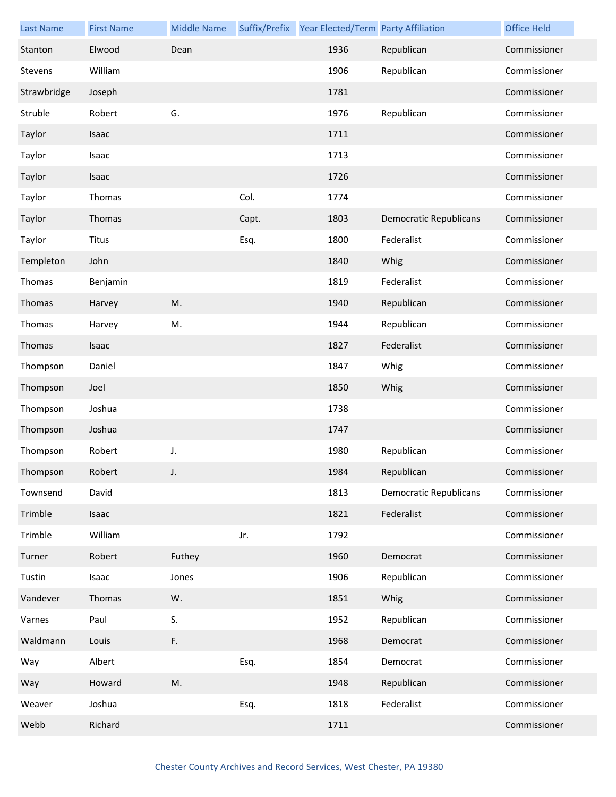| <b>Last Name</b> | <b>First Name</b> | <b>Middle Name</b> |       | Suffix/Prefix Year Elected/Term Party Affiliation |                               | <b>Office Held</b> |
|------------------|-------------------|--------------------|-------|---------------------------------------------------|-------------------------------|--------------------|
| Stanton          | Elwood            | Dean               |       | 1936                                              | Republican                    | Commissioner       |
| Stevens          | William           |                    |       | 1906                                              | Republican                    | Commissioner       |
| Strawbridge      | Joseph            |                    |       | 1781                                              |                               | Commissioner       |
| Struble          | Robert            | G.                 |       | 1976                                              | Republican                    | Commissioner       |
| Taylor           | Isaac             |                    |       | 1711                                              |                               | Commissioner       |
| Taylor           | Isaac             |                    |       | 1713                                              |                               | Commissioner       |
| Taylor           | Isaac             |                    |       | 1726                                              |                               | Commissioner       |
| Taylor           | Thomas            |                    | Col.  | 1774                                              |                               | Commissioner       |
| Taylor           | Thomas            |                    | Capt. | 1803                                              | <b>Democratic Republicans</b> | Commissioner       |
| Taylor           | Titus             |                    | Esq.  | 1800                                              | Federalist                    | Commissioner       |
| Templeton        | John              |                    |       | 1840                                              | Whig                          | Commissioner       |
| Thomas           | Benjamin          |                    |       | 1819                                              | Federalist                    | Commissioner       |
| Thomas           | Harvey            | M.                 |       | 1940                                              | Republican                    | Commissioner       |
| Thomas           | Harvey            | M.                 |       | 1944                                              | Republican                    | Commissioner       |
| Thomas           | <b>Isaac</b>      |                    |       | 1827                                              | Federalist                    | Commissioner       |
| Thompson         | Daniel            |                    |       | 1847                                              | Whig                          | Commissioner       |
| Thompson         | Joel              |                    |       | 1850                                              | Whig                          | Commissioner       |
| Thompson         | Joshua            |                    |       | 1738                                              |                               | Commissioner       |
| Thompson         | Joshua            |                    |       | 1747                                              |                               | Commissioner       |
| Thompson         | Robert            | J.                 |       | 1980                                              | Republican                    | Commissioner       |
| Thompson         | Robert            |                    |       | 1984                                              | Republican                    | Commissioner       |
| Townsend         | David             |                    |       | 1813                                              | <b>Democratic Republicans</b> | Commissioner       |
| Trimble          | Isaac             |                    |       | 1821                                              | Federalist                    | Commissioner       |
| Trimble          | William           |                    | Jr.   | 1792                                              |                               | Commissioner       |
| Turner           | Robert            | Futhey             |       | 1960                                              | Democrat                      | Commissioner       |
| Tustin           | Isaac             | Jones              |       | 1906                                              | Republican                    | Commissioner       |
| Vandever         | Thomas            | W.                 |       | 1851                                              | Whig                          | Commissioner       |
| Varnes           | Paul              | S.                 |       | 1952                                              | Republican                    | Commissioner       |
| Waldmann         | Louis             | F.                 |       | 1968                                              | Democrat                      | Commissioner       |
| Way              | Albert            |                    | Esq.  | 1854                                              | Democrat                      | Commissioner       |
| Way              | Howard            | M.                 |       | 1948                                              | Republican                    | Commissioner       |
| Weaver           | Joshua            |                    | Esq.  | 1818                                              | Federalist                    | Commissioner       |
| Webb             | Richard           |                    |       | 1711                                              |                               | Commissioner       |